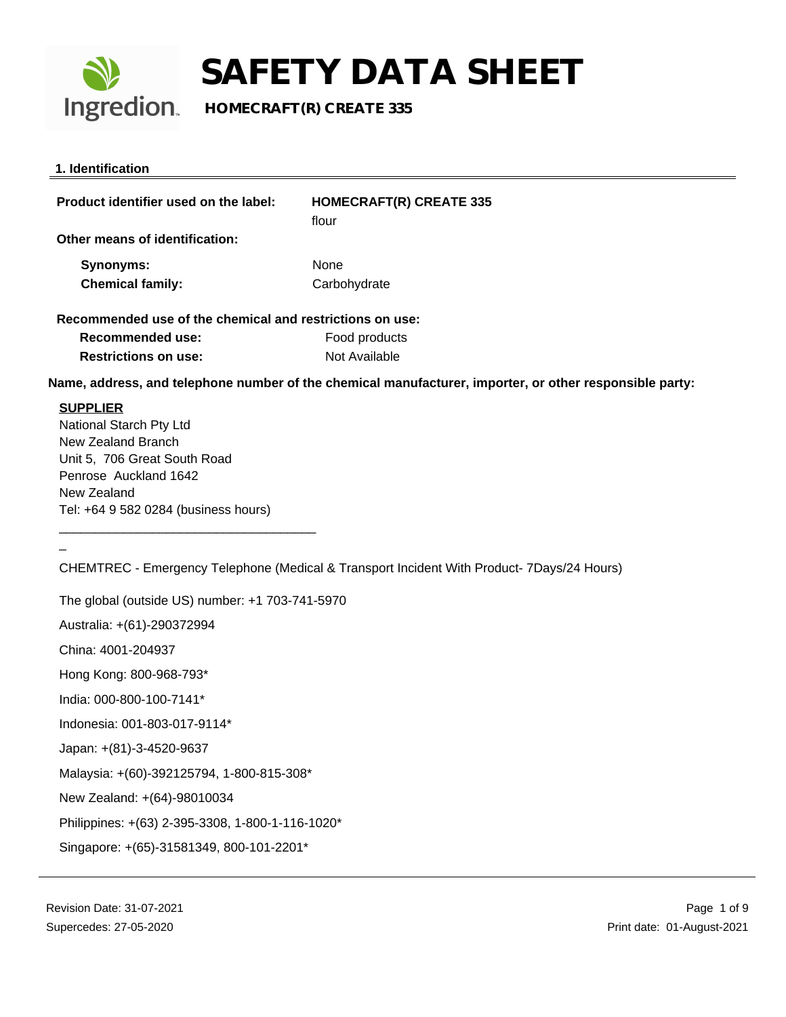

**Ingredion** HOMECRAFT(R) CREATE 335

| 1. Identification                                        |                                                                                                         |
|----------------------------------------------------------|---------------------------------------------------------------------------------------------------------|
| Product identifier used on the label:                    | <b>HOMECRAFT(R) CREATE 335</b><br>flour                                                                 |
| Other means of identification:                           |                                                                                                         |
| Synonyms:                                                | None                                                                                                    |
| <b>Chemical family:</b>                                  | Carbohydrate                                                                                            |
| Recommended use of the chemical and restrictions on use: |                                                                                                         |
| <b>Recommended use:</b>                                  | Food products                                                                                           |
| <b>Restrictions on use:</b>                              | Not Available                                                                                           |
|                                                          | Name, address, and telephone number of the chemical manufacturer, importer, or other responsible party: |
| <b>SUPPLIER</b>                                          |                                                                                                         |
| National Starch Pty Ltd                                  |                                                                                                         |
| New Zealand Branch                                       |                                                                                                         |
| Unit 5, 706 Great South Road                             |                                                                                                         |
| Penrose Auckland 1642                                    |                                                                                                         |
| New Zealand                                              |                                                                                                         |

CHEMTREC - Emergency Telephone (Medical & Transport Incident With Product- 7Days/24 Hours)

The global (outside US) number: +1 703-741-5970 Australia: +(61)-290372994 China: 4001-204937 Hong Kong: 800-968-793\* India: 000-800-100-7141\* Indonesia: 001-803-017-9114\* Japan: +(81)-3-4520-9637 Malaysia: +(60)-392125794, 1-800-815-308\* New Zealand: +(64)-98010034 Philippines: +(63) 2-395-3308, 1-800-1-116-1020\* Singapore: +(65)-31581349, 800-101-2201\*

Tel: +64 9 582 0284 (business hours)

\_

\_\_\_\_\_\_\_\_\_\_\_\_\_\_\_\_\_\_\_\_\_\_\_\_\_\_\_\_\_\_\_\_\_\_\_\_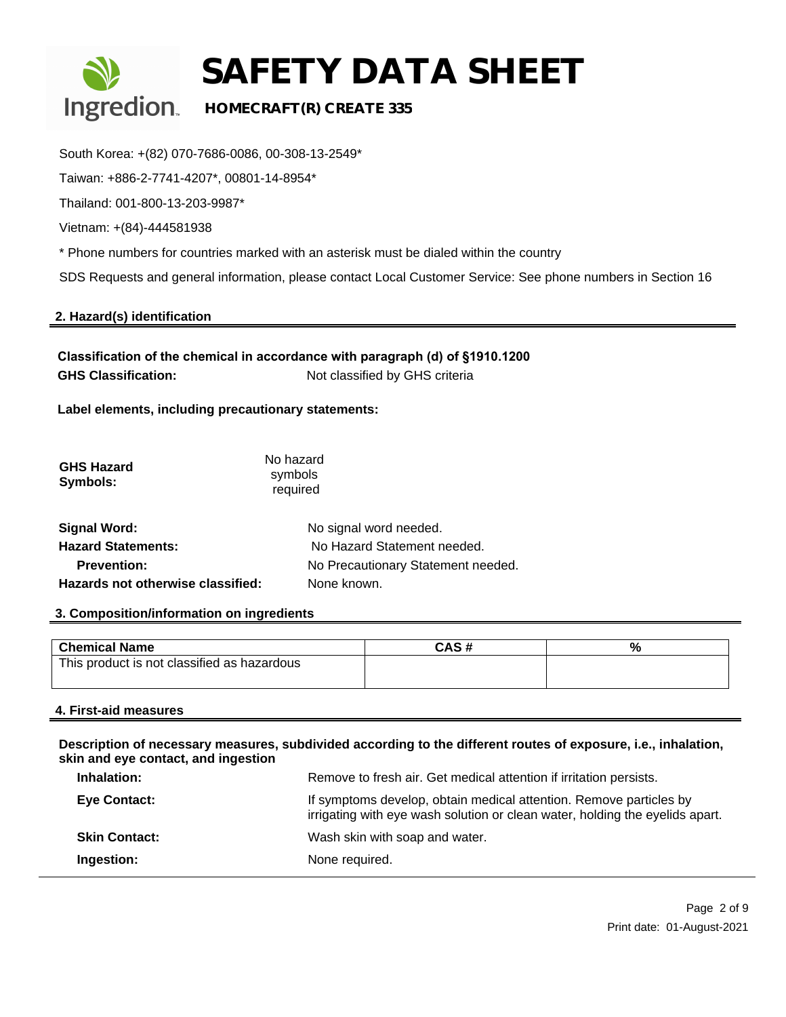

### **Ingredion HOMECRAFT(R) CREATE 335**

South Korea: +(82) 070-7686-0086, 00-308-13-2549\*

Taiwan: +886-2-7741-4207\*, 00801-14-8954\*

Thailand: 001-800-13-203-9987\*

Vietnam: +(84)-444581938

\* Phone numbers for countries marked with an asterisk must be dialed within the country

SDS Requests and general information, please contact Local Customer Service: See phone numbers in Section 16

#### **2. Hazard(s) identification**

**Classification of the chemical in accordance with paragraph (d) of §1910.1200 GHS Classification:** Not classified by GHS criteria

**Label elements, including precautionary statements:** 

| <b>GHS Hazard</b><br>Symbols:     | No hazard<br>symbols<br>required   |
|-----------------------------------|------------------------------------|
| <b>Signal Word:</b>               | No signal word needed.             |
| <b>Hazard Statements:</b>         | No Hazard Statement needed.        |
| <b>Prevention:</b>                | No Precautionary Statement needed. |
| Hazards not otherwise classified: | None known.                        |

#### **3. Composition/information on ingredients**

| <b>Chemical Name</b>                        | CAS # | % |
|---------------------------------------------|-------|---|
| This product is not classified as hazardous |       |   |

#### **4. First-aid measures**

**Description of necessary measures, subdivided according to the different routes of exposure, i.e., inhalation, skin and eye contact, and ingestion**

| Inhalation:          | Remove to fresh air. Get medical attention if irritation persists.                                                                                 |
|----------------------|----------------------------------------------------------------------------------------------------------------------------------------------------|
| <b>Eye Contact:</b>  | If symptoms develop, obtain medical attention. Remove particles by<br>irrigating with eye wash solution or clean water, holding the eyelids apart. |
| <b>Skin Contact:</b> | Wash skin with soap and water.                                                                                                                     |
| Ingestion:           | None required.                                                                                                                                     |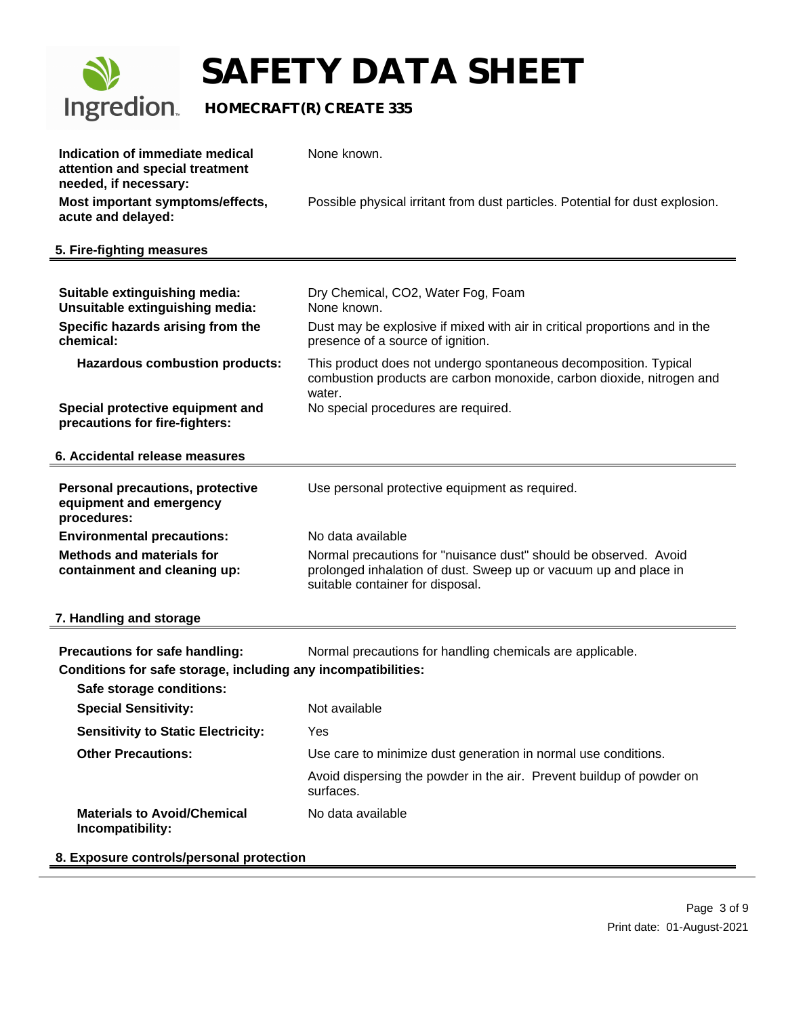

## **SAFETY DATA SHEET**

| Indication of immediate medical<br>attention and special treatment                | None known.                                                                                                                                                              |  |
|-----------------------------------------------------------------------------------|--------------------------------------------------------------------------------------------------------------------------------------------------------------------------|--|
| needed, if necessary:<br>Most important symptoms/effects,                         | Possible physical irritant from dust particles. Potential for dust explosion.                                                                                            |  |
| acute and delayed:                                                                |                                                                                                                                                                          |  |
| 5. Fire-fighting measures                                                         |                                                                                                                                                                          |  |
|                                                                                   |                                                                                                                                                                          |  |
| Suitable extinguishing media:<br>Unsuitable extinguishing media:                  | Dry Chemical, CO2, Water Fog, Foam<br>None known.                                                                                                                        |  |
| Specific hazards arising from the<br>chemical:                                    | Dust may be explosive if mixed with air in critical proportions and in the<br>presence of a source of ignition.                                                          |  |
| <b>Hazardous combustion products:</b>                                             | This product does not undergo spontaneous decomposition. Typical<br>combustion products are carbon monoxide, carbon dioxide, nitrogen and                                |  |
| Special protective equipment and<br>precautions for fire-fighters:                | water.<br>No special procedures are required.                                                                                                                            |  |
| 6. Accidental release measures                                                    |                                                                                                                                                                          |  |
| <b>Personal precautions, protective</b><br>equipment and emergency<br>procedures: | Use personal protective equipment as required.                                                                                                                           |  |
| <b>Environmental precautions:</b>                                                 | No data available                                                                                                                                                        |  |
| <b>Methods and materials for</b><br>containment and cleaning up:                  | Normal precautions for "nuisance dust" should be observed. Avoid<br>prolonged inhalation of dust. Sweep up or vacuum up and place in<br>suitable container for disposal. |  |
| 7. Handling and storage                                                           |                                                                                                                                                                          |  |
| Precautions for safe handling:                                                    | Normal precautions for handling chemicals are applicable.                                                                                                                |  |
| Conditions for safe storage, including any incompatibilities:                     |                                                                                                                                                                          |  |
| Safe storage conditions:                                                          |                                                                                                                                                                          |  |
| <b>Special Sensitivity:</b>                                                       | Not available                                                                                                                                                            |  |
| <b>Sensitivity to Static Electricity:</b>                                         | Yes                                                                                                                                                                      |  |
| <b>Other Precautions:</b>                                                         | Use care to minimize dust generation in normal use conditions.                                                                                                           |  |
|                                                                                   | Avoid dispersing the powder in the air. Prevent buildup of powder on<br>surfaces.                                                                                        |  |
| <b>Materials to Avoid/Chemical</b><br>Incompatibility:                            | No data available                                                                                                                                                        |  |
| 8. Exposure controls/personal protection                                          |                                                                                                                                                                          |  |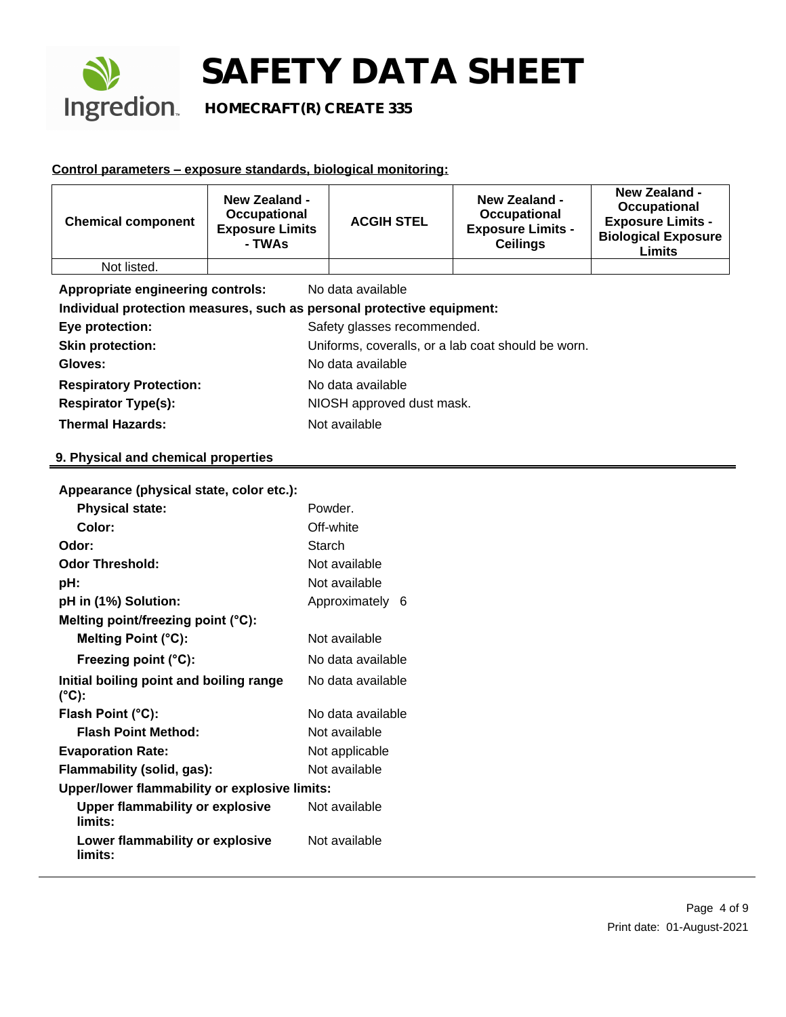

**Ingredion** HOMECRAFT(R) CREATE 335

#### **Control parameters – exposure standards, biological monitoring:**

| <b>Chemical component</b>                                              | <b>New Zealand -</b><br>Occupational<br><b>Exposure Limits</b><br>- TWAs | <b>ACGIH STEL</b>                                  | <b>New Zealand -</b><br>Occupational<br><b>Exposure Limits -</b><br><b>Ceilings</b> | <b>New Zealand -</b><br>Occupational<br><b>Exposure Limits -</b><br><b>Biological Exposure</b><br><b>Limits</b> |
|------------------------------------------------------------------------|--------------------------------------------------------------------------|----------------------------------------------------|-------------------------------------------------------------------------------------|-----------------------------------------------------------------------------------------------------------------|
| Not listed.                                                            |                                                                          |                                                    |                                                                                     |                                                                                                                 |
| Appropriate engineering controls:<br>No data available                 |                                                                          |                                                    |                                                                                     |                                                                                                                 |
| Individual protection measures, such as personal protective equipment: |                                                                          |                                                    |                                                                                     |                                                                                                                 |
| Eye protection:                                                        |                                                                          | Safety glasses recommended.                        |                                                                                     |                                                                                                                 |
| <b>Skin protection:</b>                                                |                                                                          | Uniforms, coveralls, or a lab coat should be worn. |                                                                                     |                                                                                                                 |
| Gloves:                                                                |                                                                          | No data available                                  |                                                                                     |                                                                                                                 |
| <b>Respiratory Protection:</b>                                         | No data available                                                        |                                                    |                                                                                     |                                                                                                                 |
| <b>Respirator Type(s):</b>                                             |                                                                          | NIOSH approved dust mask.                          |                                                                                     |                                                                                                                 |
| <b>Thermal Hazards:</b>                                                |                                                                          | Not available                                      |                                                                                     |                                                                                                                 |

#### **9. Physical and chemical properties**

| Appearance (physical state, color etc.):          |                   |  |
|---------------------------------------------------|-------------------|--|
| <b>Physical state:</b>                            | Powder.           |  |
| Color:                                            | Off-white         |  |
| Odor:                                             | Starch            |  |
| <b>Odor Threshold:</b>                            | Not available     |  |
| pH:                                               | Not available     |  |
| pH in (1%) Solution:                              | Approximately 6   |  |
| Melting point/freezing point (°C):                |                   |  |
| Melting Point (°C):                               | Not available     |  |
| Freezing point (°C):                              | No data available |  |
| Initial boiling point and boiling range<br>(°C):  | No data available |  |
| Flash Point (°C):                                 | No data available |  |
| <b>Flash Point Method:</b>                        | Not available     |  |
| <b>Evaporation Rate:</b>                          | Not applicable    |  |
| Flammability (solid, gas):                        | Not available     |  |
| Upper/lower flammability or explosive limits:     |                   |  |
| <b>Upper flammability or explosive</b><br>limits: | Not available     |  |
| Lower flammability or explosive<br>limits:        | Not available     |  |

**Appearance (physical state, color etc.):**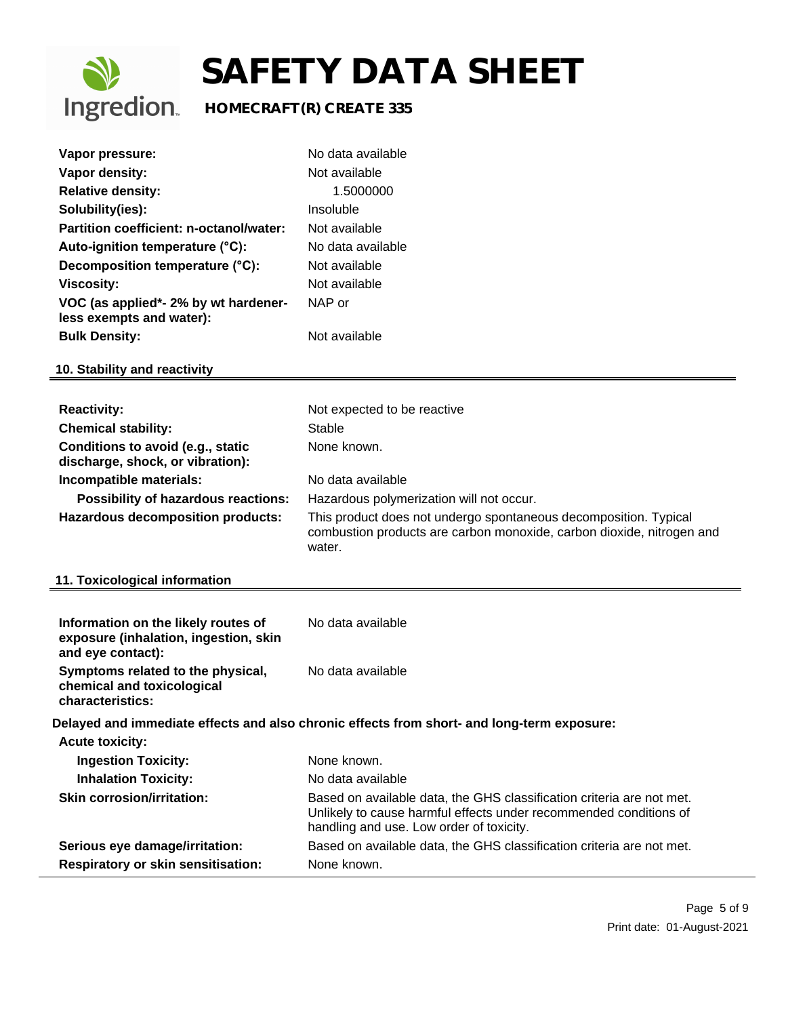

### **Ingredion** HOMECRAFT(R) CREATE 335

| Vapor pressure:                                                  | No data available |
|------------------------------------------------------------------|-------------------|
| Vapor density:                                                   | Not available     |
| <b>Relative density:</b>                                         | 1.5000000         |
| Solubility(ies):                                                 | Insoluble         |
| Partition coefficient: n-octanol/water:                          | Not available     |
| Auto-ignition temperature (°C):                                  | No data available |
| Decomposition temperature (°C):                                  | Not available     |
| Viscosity:                                                       | Not available     |
| VOC (as applied*- 2% by wt hardener-<br>less exempts and water): | NAP or            |
| <b>Bulk Density:</b>                                             | Not available     |
| 10. Stability and reactivity                                     |                   |

| <b>Reactivity:</b>                                                    | Not expected to be reactive                                                                                                                         |
|-----------------------------------------------------------------------|-----------------------------------------------------------------------------------------------------------------------------------------------------|
| <b>Chemical stability:</b>                                            | Stable                                                                                                                                              |
| Conditions to avoid (e.g., static<br>discharge, shock, or vibration): | None known.                                                                                                                                         |
| Incompatible materials:                                               | No data available                                                                                                                                   |
| <b>Possibility of hazardous reactions:</b>                            | Hazardous polymerization will not occur.                                                                                                            |
| <b>Hazardous decomposition products:</b>                              | This product does not undergo spontaneous decomposition. Typical<br>combustion products are carbon monoxide, carbon dioxide, nitrogen and<br>water. |

#### **11. Toxicological information**

| Information on the likely routes of<br>exposure (inhalation, ingestion, skin<br>and eye contact): | No data available                                                                                                                                                                      |
|---------------------------------------------------------------------------------------------------|----------------------------------------------------------------------------------------------------------------------------------------------------------------------------------------|
| Symptoms related to the physical,<br>chemical and toxicological<br>characteristics:               | No data available                                                                                                                                                                      |
|                                                                                                   | Delayed and immediate effects and also chronic effects from short- and long-term exposure:                                                                                             |
| <b>Acute toxicity:</b>                                                                            |                                                                                                                                                                                        |
| <b>Ingestion Toxicity:</b>                                                                        | None known.                                                                                                                                                                            |
| <b>Inhalation Toxicity:</b>                                                                       | No data available                                                                                                                                                                      |
| <b>Skin corrosion/irritation:</b>                                                                 | Based on available data, the GHS classification criteria are not met.<br>Unlikely to cause harmful effects under recommended conditions of<br>handling and use. Low order of toxicity. |
| Serious eye damage/irritation:                                                                    | Based on available data, the GHS classification criteria are not met.                                                                                                                  |
| <b>Respiratory or skin sensitisation:</b>                                                         | None known.                                                                                                                                                                            |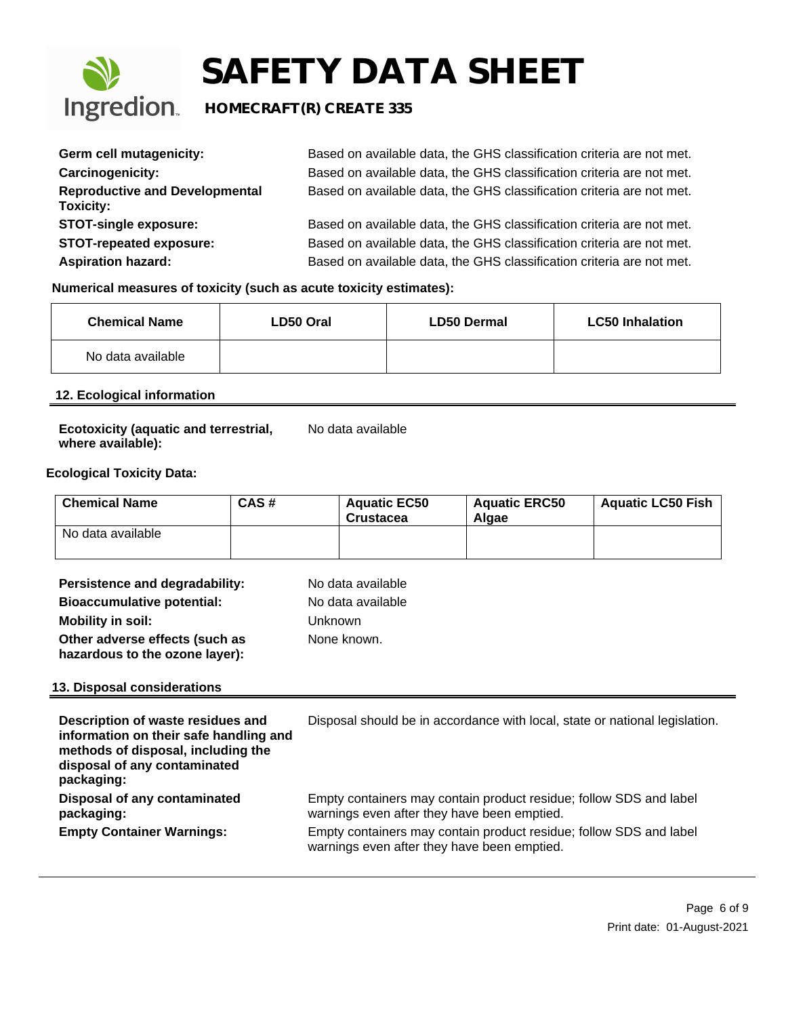

### **Ingredion** HOMECRAFT(R) CREATE 335

| Germ cell mutagenicity:                            | Based on available data, the GHS classification criteria are not met. |
|----------------------------------------------------|-----------------------------------------------------------------------|
| Carcinogenicity:                                   | Based on available data, the GHS classification criteria are not met. |
| <b>Reproductive and Developmental</b><br>Toxicity: | Based on available data, the GHS classification criteria are not met. |
| <b>STOT-single exposure:</b>                       | Based on available data, the GHS classification criteria are not met. |
| <b>STOT-repeated exposure:</b>                     | Based on available data, the GHS classification criteria are not met. |
| <b>Aspiration hazard:</b>                          | Based on available data, the GHS classification criteria are not met. |

#### **Numerical measures of toxicity (such as acute toxicity estimates):**

| <b>Chemical Name</b> | LD50 Oral | <b>LD50 Dermal</b> | <b>LC50 Inhalation</b> |
|----------------------|-----------|--------------------|------------------------|
| No data available    |           |                    |                        |

### **12. Ecological information**

| Ecotoxicity (aquatic and terrestrial, | No data available |
|---------------------------------------|-------------------|
| where available):                     |                   |

#### **Ecological Toxicity Data:**

| └ Chemical Name   | CAS# | <b>Aguatic EC50</b><br><b>Crustacea</b> | <b>Aguatic ERC50</b><br>Algae | <b>Aquatic LC50 Fish</b> |
|-------------------|------|-----------------------------------------|-------------------------------|--------------------------|
| No data available |      |                                         |                               |                          |

| Persistence and degradability:                                   | No data available |
|------------------------------------------------------------------|-------------------|
| <b>Bioaccumulative potential:</b>                                | No data available |
| <b>Mobility in soil:</b>                                         | <b>Unknown</b>    |
| Other adverse effects (such as<br>hazardous to the ozone layer): | None known.       |

#### **13. Disposal considerations**

| Description of waste residues and<br>information on their safe handling and<br>methods of disposal, including the<br>disposal of any contaminated<br>packaging: | Disposal should be in accordance with local, state or national legislation.                                       |
|-----------------------------------------------------------------------------------------------------------------------------------------------------------------|-------------------------------------------------------------------------------------------------------------------|
| Disposal of any contaminated<br>packaging:                                                                                                                      | Empty containers may contain product residue; follow SDS and label<br>warnings even after they have been emptied. |
| <b>Empty Container Warnings:</b>                                                                                                                                | Empty containers may contain product residue; follow SDS and label<br>warnings even after they have been emptied. |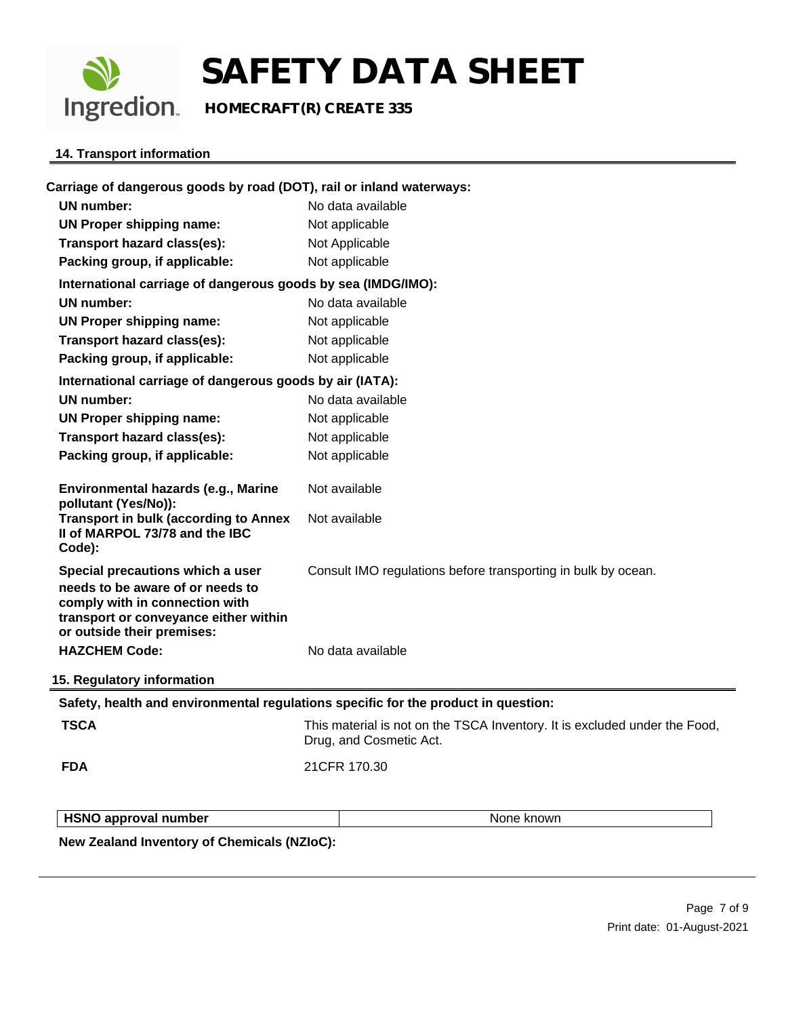

**Ingredion** HOMECRAFT(R) CREATE 335

#### **14. Transport information**

| <b>TSCA</b><br><b>FDA</b><br><b>HSNO approval number</b>                                                                                  | Safety, health and environmental regulations specific for the product in question:<br>This material is not on the TSCA Inventory. It is excluded under the Food,<br>Drug, and Cosmetic Act.<br>21CFR 170.30<br>None known |
|-------------------------------------------------------------------------------------------------------------------------------------------|---------------------------------------------------------------------------------------------------------------------------------------------------------------------------------------------------------------------------|
|                                                                                                                                           |                                                                                                                                                                                                                           |
|                                                                                                                                           |                                                                                                                                                                                                                           |
|                                                                                                                                           |                                                                                                                                                                                                                           |
|                                                                                                                                           |                                                                                                                                                                                                                           |
|                                                                                                                                           |                                                                                                                                                                                                                           |
| 15. Regulatory information                                                                                                                |                                                                                                                                                                                                                           |
| <b>HAZCHEM Code:</b>                                                                                                                      | No data available                                                                                                                                                                                                         |
| needs to be aware of or needs to<br>comply with in connection with<br>transport or conveyance either within<br>or outside their premises: |                                                                                                                                                                                                                           |
| Special precautions which a user                                                                                                          | Consult IMO regulations before transporting in bulk by ocean.                                                                                                                                                             |
| <b>Transport in bulk (according to Annex</b><br>II of MARPOL 73/78 and the IBC<br>Code):                                                  | Not available                                                                                                                                                                                                             |
| Environmental hazards (e.g., Marine<br>pollutant (Yes/No)):                                                                               | Not available                                                                                                                                                                                                             |
| Packing group, if applicable:                                                                                                             | Not applicable                                                                                                                                                                                                            |
| Transport hazard class(es):                                                                                                               | Not applicable                                                                                                                                                                                                            |
| <b>UN Proper shipping name:</b>                                                                                                           | Not applicable                                                                                                                                                                                                            |
| <b>UN number:</b>                                                                                                                         | No data available                                                                                                                                                                                                         |
| International carriage of dangerous goods by air (IATA):                                                                                  |                                                                                                                                                                                                                           |
| Packing group, if applicable:                                                                                                             | Not applicable                                                                                                                                                                                                            |
| Transport hazard class(es):                                                                                                               | Not applicable                                                                                                                                                                                                            |
| <b>UN Proper shipping name:</b>                                                                                                           | Not applicable                                                                                                                                                                                                            |
| <b>UN number:</b>                                                                                                                         | No data available                                                                                                                                                                                                         |
| International carriage of dangerous goods by sea (IMDG/IMO):                                                                              |                                                                                                                                                                                                                           |
| Packing group, if applicable:                                                                                                             | Not applicable                                                                                                                                                                                                            |
| Transport hazard class(es):                                                                                                               | Not Applicable                                                                                                                                                                                                            |
| <b>UN Proper shipping name:</b>                                                                                                           | Not applicable                                                                                                                                                                                                            |
| <b>UN number:</b>                                                                                                                         | No data available                                                                                                                                                                                                         |

**New Zealand Inventory of Chemicals (NZIoC):**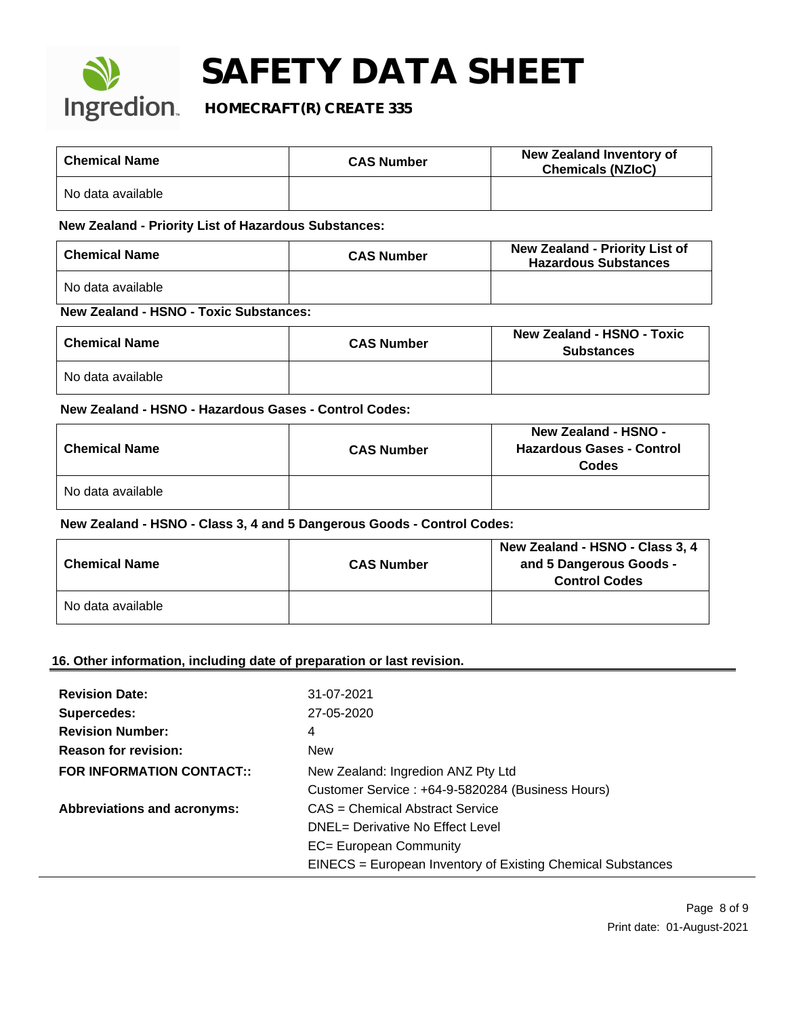

### **Ingredion** HOMECRAFT(R) CREATE 335

| <b>Chemical Name</b> | <b>CAS Number</b> | New Zealand Inventory of<br><b>Chemicals (NZIoC)</b> |
|----------------------|-------------------|------------------------------------------------------|
| No data available    |                   |                                                      |

#### **New Zealand - Priority List of Hazardous Substances:**

| <b>Chemical Name</b>               | <b>CAS Number</b> | <b>New Zealand - Priority List of</b><br><b>Hazardous Substances</b> |
|------------------------------------|-------------------|----------------------------------------------------------------------|
| No data available                  |                   |                                                                      |
| New Zecless HONO Texts Cubetaneses |                   |                                                                      |

#### **New Zealand - HSNO - Toxic Substances:**

| <b>Chemical Name</b> | <b>CAS Number</b> | <b>New Zealand - HSNO - Toxic</b><br><b>Substances</b> |
|----------------------|-------------------|--------------------------------------------------------|
| No data available    |                   |                                                        |

#### **New Zealand - HSNO - Hazardous Gases - Control Codes:**

| <b>Chemical Name</b> | <b>CAS Number</b> | <b>New Zealand - HSNO -</b><br><b>Hazardous Gases - Control</b><br>Codes |
|----------------------|-------------------|--------------------------------------------------------------------------|
| No data available    |                   |                                                                          |

#### **New Zealand - HSNO - Class 3, 4 and 5 Dangerous Goods - Control Codes:**

| <b>Chemical Name</b> | <b>CAS Number</b> | New Zealand - HSNO - Class 3, 4<br>and 5 Dangerous Goods -<br><b>Control Codes</b> |
|----------------------|-------------------|------------------------------------------------------------------------------------|
| No data available    |                   |                                                                                    |

#### **16. Other information, including date of preparation or last revision.**

| <b>Revision Date:</b>              | 31-07-2021                                                  |
|------------------------------------|-------------------------------------------------------------|
| Supercedes:                        | 27-05-2020                                                  |
| <b>Revision Number:</b>            | 4                                                           |
| <b>Reason for revision:</b>        | <b>New</b>                                                  |
| <b>FOR INFORMATION CONTACT::</b>   | New Zealand: Ingredion ANZ Pty Ltd                          |
|                                    | Customer Service: +64-9-5820284 (Business Hours)            |
| <b>Abbreviations and acronyms:</b> | CAS = Chemical Abstract Service                             |
|                                    | DNEL= Derivative No Effect Level                            |
|                                    | EC= European Community                                      |
|                                    | EINECS = European Inventory of Existing Chemical Substances |